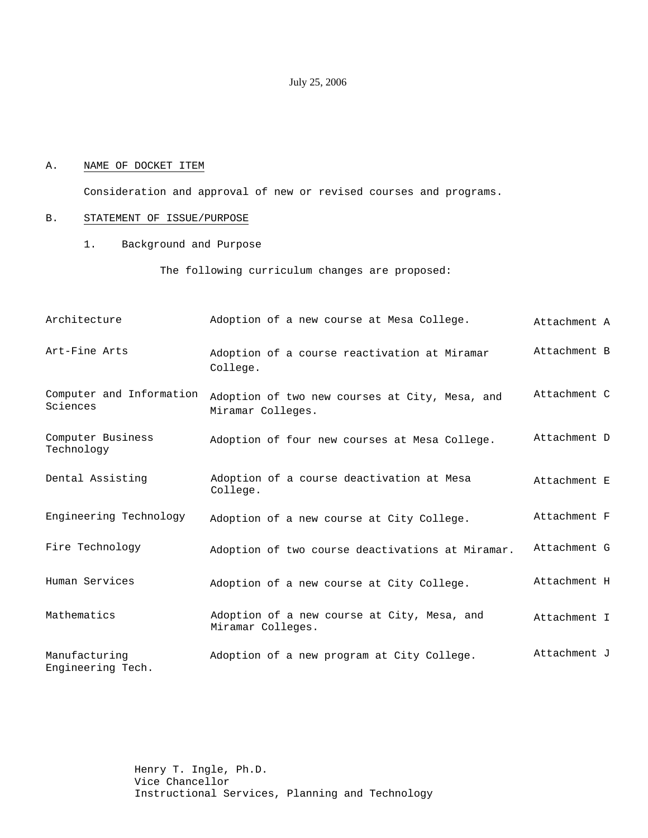## July 25, 2006

#### A. NAME OF DOCKET ITEM

Consideration and approval of new or revised courses and programs.

## B. STATEMENT OF ISSUE/PURPOSE

1. Background and Purpose

The following curriculum changes are proposed:

| Architecture                         | Adoption of a new course at Mesa College.                           | Attachment A |
|--------------------------------------|---------------------------------------------------------------------|--------------|
| Art-Fine Arts                        | Adoption of a course reactivation at Miramar<br>College.            | Attachment B |
| Computer and Information<br>Sciences | Adoption of two new courses at City, Mesa, and<br>Miramar Colleges. | Attachment C |
| Computer Business<br>Technology      | Adoption of four new courses at Mesa College.                       | Attachment D |
| Dental Assisting                     | Adoption of a course deactivation at Mesa<br>College.               | Attachment E |
| Engineering Technology               | Adoption of a new course at City College.                           | Attachment F |
| Fire Technology                      | Adoption of two course deactivations at Miramar.                    | Attachment G |
| Human Services                       | Adoption of a new course at City College.                           | Attachment H |
| Mathematics                          | Adoption of a new course at City, Mesa, and<br>Miramar Colleges.    | Attachment I |
| Manufacturing<br>Engineering Tech.   | Adoption of a new program at City College.                          | Attachment J |

Henry T. Ingle, Ph.D. Vice Chancellor Instructional Services, Planning and Technology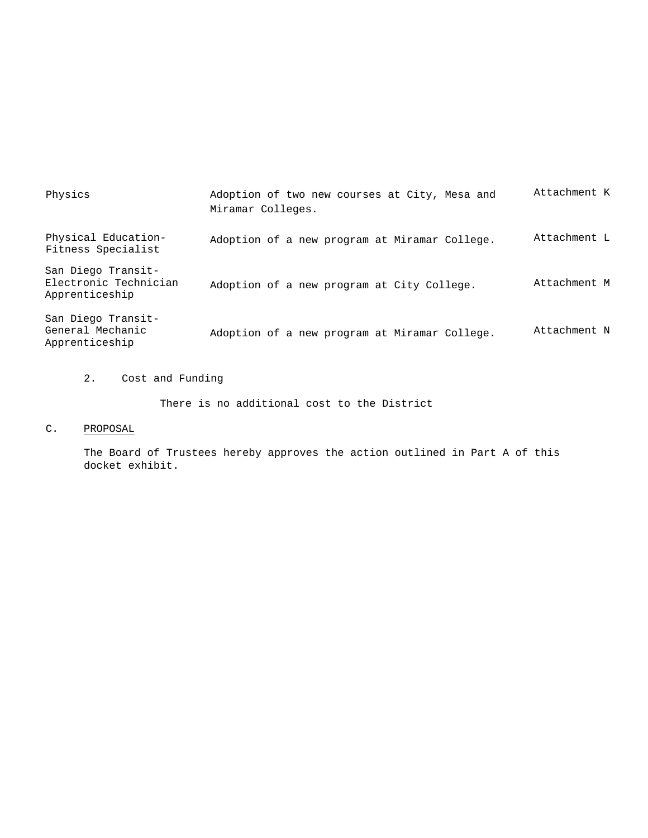| Physics                                                       | Adoption of two new courses at City, Mesa and<br>Miramar Colleges. | Attachment K |
|---------------------------------------------------------------|--------------------------------------------------------------------|--------------|
| Physical Education-<br>Fitness Specialist                     | Adoption of a new program at Miramar College.                      | Attachment L |
| San Diego Transit-<br>Electronic Technician<br>Apprenticeship | Adoption of a new program at City College.                         | Attachment M |
| San Diego Transit-<br>General Mechanic<br>Apprenticeship      | Adoption of a new program at Miramar College.                      | Attachment N |

2. Cost and Funding

There is no additional cost to the District

# C. PROPOSAL

The Board of Trustees hereby approves the action outlined in Part A of this docket exhibit.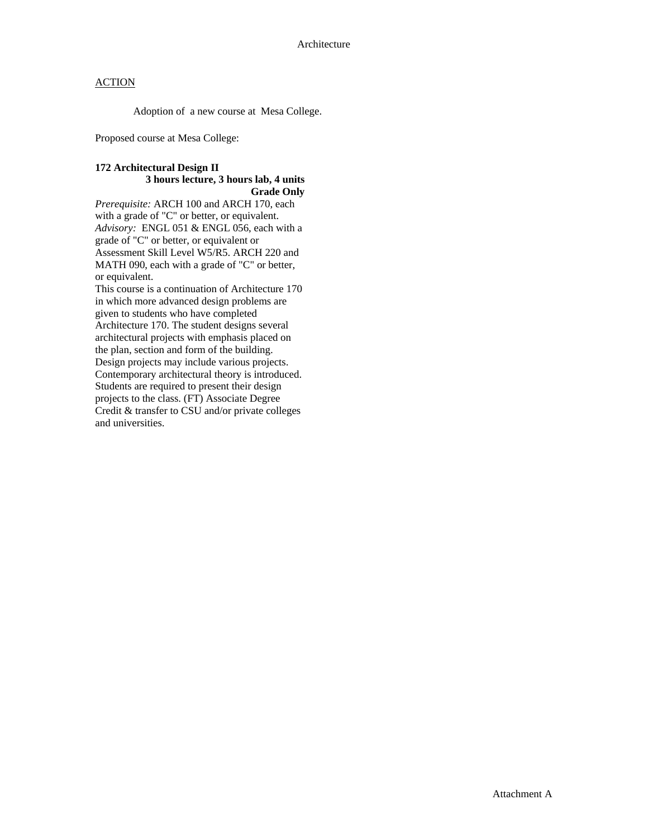Adoption of a new course at Mesa College.

Proposed course at Mesa College:

### **172 Architectural Design II 3 hours lecture, 3 hours lab, 4 units Grade Only**

*Prerequisite:* ARCH 100 and ARCH 170, each with a grade of "C" or better, or equivalent. *Advisory:* ENGL 051 & ENGL 056, each with a grade of "C" or better, or equivalent or Assessment Skill Level W5/R5. ARCH 220 and MATH 090, each with a grade of "C" or better, or equivalent.

This course is a continuation of Architecture 170 in which more advanced design problems are given to students who have completed Architecture 170. The student designs several architectural projects with emphasis placed on the plan, section and form of the building. Design projects may include various projects. Contemporary architectural theory is introduced. Students are required to present their design projects to the class. (FT) Associate Degree Credit & transfer to CSU and/or private colleges and universities.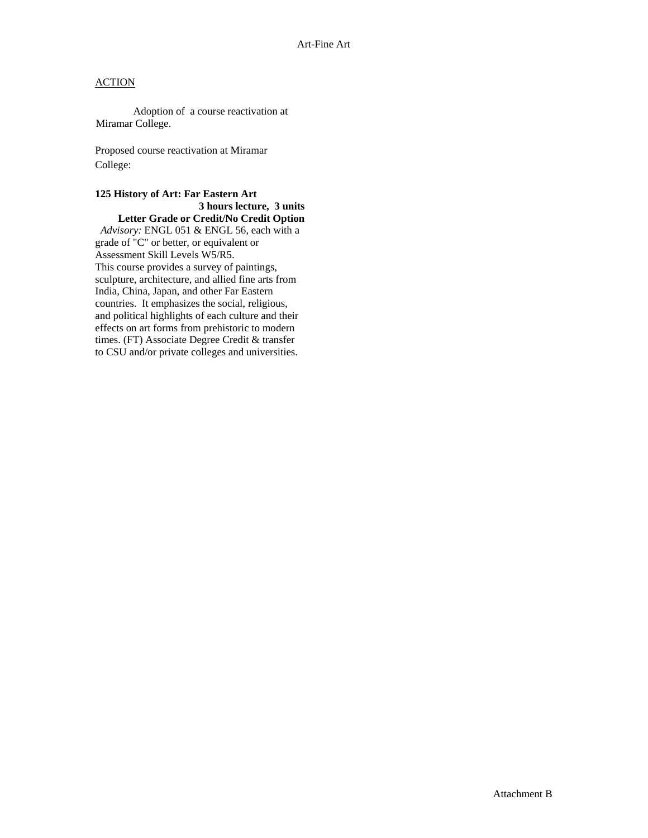Adoption of a course reactivation at Miramar College.

Proposed course reactivation at Miramar College:

**125 History of Art: Far Eastern Art 3 hours lecture, 3 units Letter Grade or Credit/No Credit Option**  *Advisory:* ENGL 051 & ENGL 56, each with a grade of "C" or better, or equivalent or Assessment Skill Levels W5/R5. This course provides a survey of paintings, sculpture, architecture, and allied fine arts from India, China, Japan, and other Far Eastern countries. It emphasizes the social, religious, and political highlights of each culture and their effects on art forms from prehistoric to modern times. (FT) Associate Degree Credit & transfer

to CSU and/or private colleges and universities.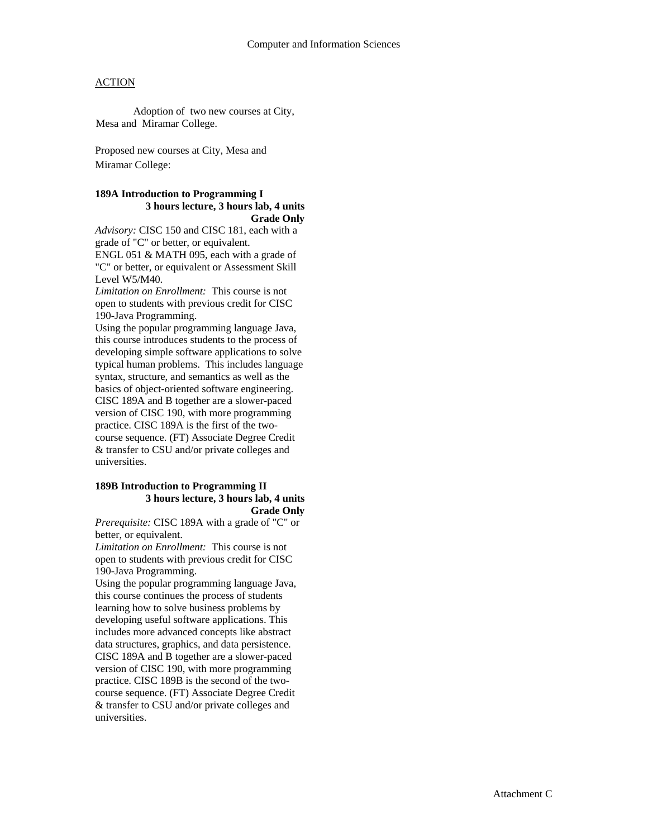Adoption of two new courses at City, Mesa and Miramar College.

Proposed new courses at City, Mesa and Miramar College:

#### **189A Introduction to Programming I 3 hours lecture, 3 hours lab, 4 units Grade Only**

*Advisory:* CISC 150 and CISC 181, each with a grade of "C" or better, or equivalent.

ENGL 051 & MATH 095, each with a grade of "C" or better, or equivalent or Assessment Skill Level W5/M40.

*Limitation on Enrollment:* This course is not open to students with previous credit for CISC 190-Java Programming.

Using the popular programming language Java, this course introduces students to the process of developing simple software applications to solve typical human problems. This includes language syntax, structure, and semantics as well as the basics of object-oriented software engineering. CISC 189A and B together are a slower-paced version of CISC 190, with more programming practice. CISC 189A is the first of the twocourse sequence. (FT) Associate Degree Credit & transfer to CSU and/or private colleges and universities.

#### **189B Introduction to Programming II 3 hours lecture, 3 hours lab, 4 units Grade Only**

*Prerequisite:* CISC 189A with a grade of "C" or better, or equivalent.

*Limitation on Enrollment:* This course is not open to students with previous credit for CISC 190-Java Programming.

Using the popular programming language Java, this course continues the process of students learning how to solve business problems by developing useful software applications. This includes more advanced concepts like abstract data structures, graphics, and data persistence. CISC 189A and B together are a slower-paced version of CISC 190, with more programming practice. CISC 189B is the second of the twocourse sequence. (FT) Associate Degree Credit & transfer to CSU and/or private colleges and universities.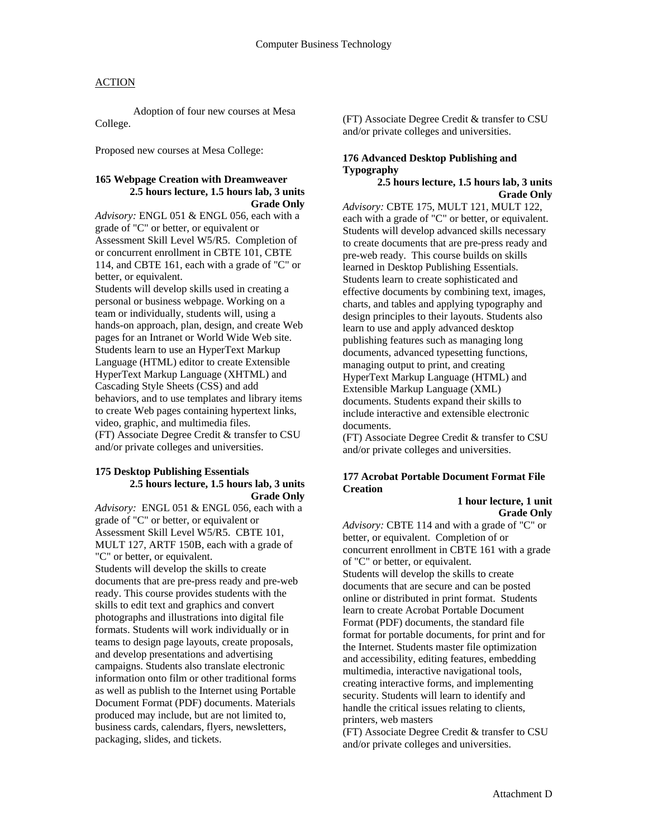Adoption of four new courses at Mesa College.

Proposed new courses at Mesa College:

#### **165 Webpage Creation with Dreamweaver 2.5 hours lecture, 1.5 hours lab, 3 units Grade Only**

*Advisory:* ENGL 051 & ENGL 056, each with a grade of "C" or better, or equivalent or Assessment Skill Level W5/R5. Completion of or concurrent enrollment in CBTE 101, CBTE 114, and CBTE 161, each with a grade of "C" or better, or equivalent. Students will develop skills used in creating a personal or business webpage. Working on a

team or individually, students will, using a hands-on approach, plan, design, and create Web pages for an Intranet or World Wide Web site. Students learn to use an HyperText Markup Language (HTML) editor to create Extensible HyperText Markup Language (XHTML) and Cascading Style Sheets (CSS) and add behaviors, and to use templates and library items to create Web pages containing hypertext links, video, graphic, and multimedia files. (FT) Associate Degree Credit & transfer to CSU and/or private colleges and universities.

#### **175 Desktop Publishing Essentials 2.5 hours lecture, 1.5 hours lab, 3 units Grade Only**

*Advisory:* ENGL 051 & ENGL 056, each with a grade of "C" or better, or equivalent or Assessment Skill Level W5/R5. CBTE 101, MULT 127, ARTF 150B, each with a grade of "C" or better, or equivalent. Students will develop the skills to create documents that are pre-press ready and pre-web ready. This course provides students with the skills to edit text and graphics and convert photographs and illustrations into digital file formats. Students will work individually or in teams to design page layouts, create proposals, and develop presentations and advertising campaigns. Students also translate electronic information onto film or other traditional forms as well as publish to the Internet using Portable Document Format (PDF) documents. Materials produced may include, but are not limited to, business cards, calendars, flyers, newsletters, packaging, slides, and tickets.

(FT) Associate Degree Credit & transfer to CSU and/or private colleges and universities.

## **176 Advanced Desktop Publishing and Typography**

### **2.5 hours lecture, 1.5 hours lab, 3 units Grade Only**

*Advisory:* CBTE 175, MULT 121, MULT 122, each with a grade of "C" or better, or equivalent. Students will develop advanced skills necessary to create documents that are pre-press ready and pre-web ready. This course builds on skills learned in Desktop Publishing Essentials. Students learn to create sophisticated and effective documents by combining text, images, charts, and tables and applying typography and design principles to their layouts. Students also learn to use and apply advanced desktop publishing features such as managing long documents, advanced typesetting functions, managing output to print, and creating HyperText Markup Language (HTML) and Extensible Markup Language (XML) documents. Students expand their skills to include interactive and extensible electronic documents.

(FT) Associate Degree Credit & transfer to CSU and/or private colleges and universities.

## **177 Acrobat Portable Document Format File Creation**

 **1 hour lecture, 1 unit Grade Only** 

*Advisory:* CBTE 114 and with a grade of "C" or better, or equivalent. Completion of or concurrent enrollment in CBTE 161 with a grade of "C" or better, or equivalent. Students will develop the skills to create

documents that are secure and can be posted online or distributed in print format. Students learn to create Acrobat Portable Document Format (PDF) documents, the standard file format for portable documents, for print and for the Internet. Students master file optimization and accessibility, editing features, embedding multimedia, interactive navigational tools, creating interactive forms, and implementing security. Students will learn to identify and handle the critical issues relating to clients, printers, web masters

(FT) Associate Degree Credit & transfer to CSU and/or private colleges and universities.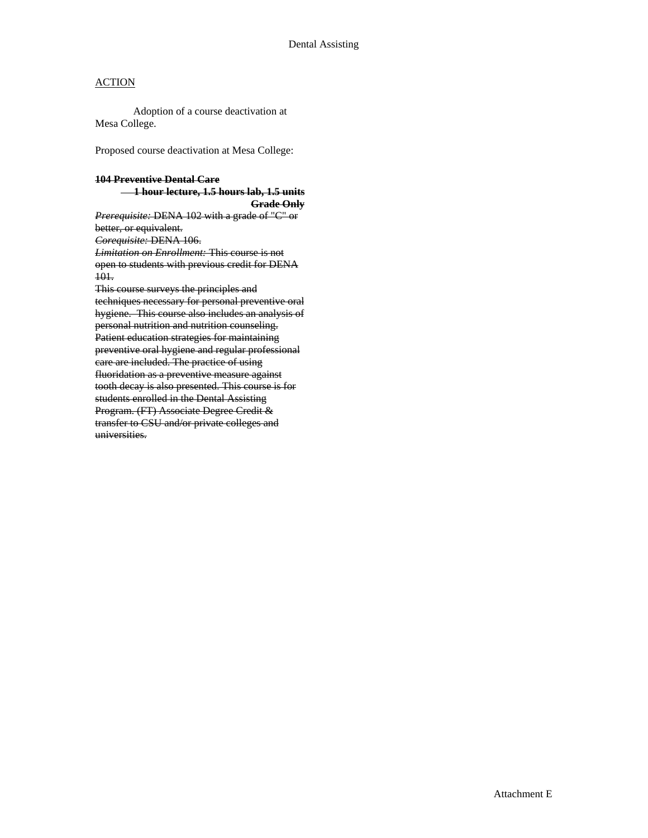Adoption of a course deactivation at Mesa College.

Proposed course deactivation at Mesa College:

### **104 Preventive Dental Care 1 hour lecture, 1.5 hours lab, 1.5 units**

**Grade Only** *Prerequisite:* DENA 102 with a grade of "C" or better, or equivalent. *Corequisite:* DENA 106. *Limitation on Enrollment:* This course is not open to students with previous credit for DENA 101. This course surveys the principles and techniques necessary for personal preventive oral hygiene. This course also includes an analysis of personal nutrition and nutrition counseling. Patient education strategies for maintaining preventive oral hygiene and regular professional care are included. The practice of using fluoridation as a preventive measure against tooth decay is also presented. This course is for students enrolled in the Dental Assisting Program. (FT) Associate Degree Credit & transfer to CSU and/or private colleges and universities.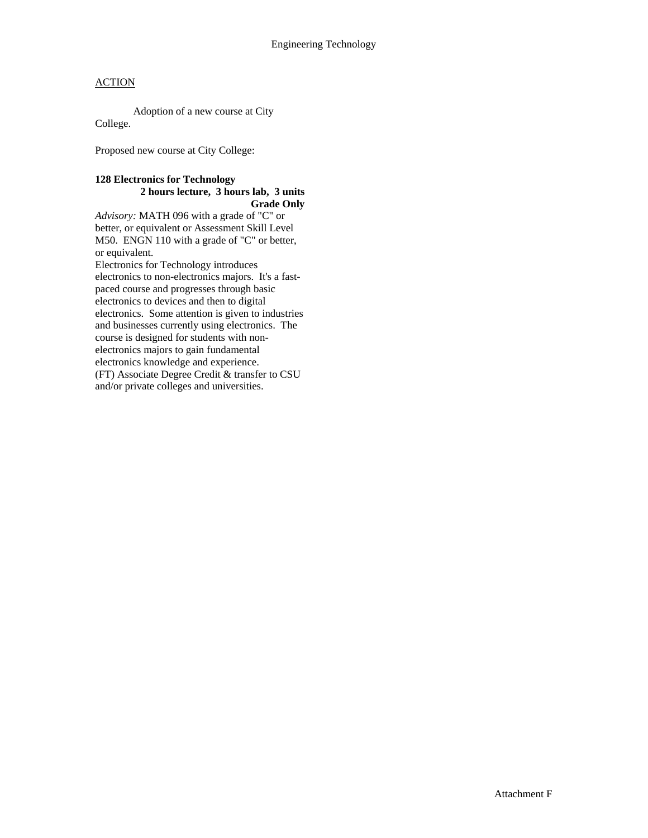Adoption of a new course at City College.

Proposed new course at City College:

#### **128 Electronics for Technology 2 hours lecture, 3 hours lab, 3 units Grade Only**

*Advisory:* MATH 096 with a grade of "C" or better, or equivalent or Assessment Skill Level M50. ENGN 110 with a grade of "C" or better, or equivalent.

Electronics for Technology introduces electronics to non-electronics majors. It's a fastpaced course and progresses through basic electronics to devices and then to digital electronics. Some attention is given to industries and businesses currently using electronics. The course is designed for students with nonelectronics majors to gain fundamental electronics knowledge and experience. (FT) Associate Degree Credit & transfer to CSU and/or private colleges and universities.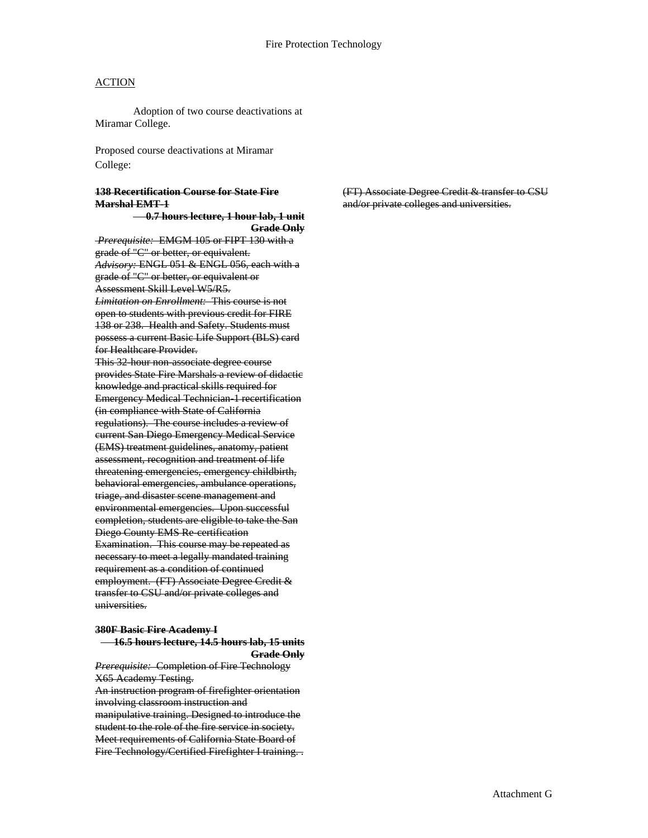Adoption of two course deactivations at Miramar College.

Proposed course deactivations at Miramar College:

#### **138 Recertification Course for State Fire Marshal EMT-1**

 **0.7 hours lecture, 1 hour lab, 1 unit Grade Only**

*Prerequisite:* EMGM 105 or FIPT 130 with a grade of "C" or better, or equivalent. *Advisory:* ENGL 051 & ENGL 056, each with a grade of "C" or better, or equivalent or Assessment Skill Level W5/R5. *Limitation on Enrollment:* This course is not

open to students with previous credit for FIRE 138 or 238. Health and Safety. Students must possess a current Basic Life Support (BLS) card for Healthcare Provider.

This 32 hour non-associate degree course provides State Fire Marshals a review of didactic knowledge and practical skills required for Emergency Medical Technician-1 recertification (in compliance with State of California regulations). The course includes a review of current San Diego Emergency Medical Service (EMS) treatment guidelines, anatomy, patient assessment, recognition and treatment of life threatening emergencies, emergency childbirth, behavioral emergencies, ambulance operations, triage, and disaster scene management and environmental emergencies. Upon successful completion, students are eligible to take the San Diego County EMS Re-certification Examination. This course may be repeated as necessary to meet a legally mandated training requirement as a condition of continued employment. (FT) Associate Degree Credit & transfer to CSU and/or private colleges and universities.

#### **380F Basic Fire Academy I 16.5 hours lecture, 14.5 hours lab, 15 units**

**Grade Only**

*Prerequisite:* Completion of Fire Technology X65 Academy Testing. An instruction program of firefighter orientation involving classroom instruction and manipulative training. Designed to introduce the student to the role of the fire service in society. Meet requirements of California State Board of Fire Technology/Certified Firefighter I training. . (FT) Associate Degree Credit & transfer to CSU and/or private colleges and universities.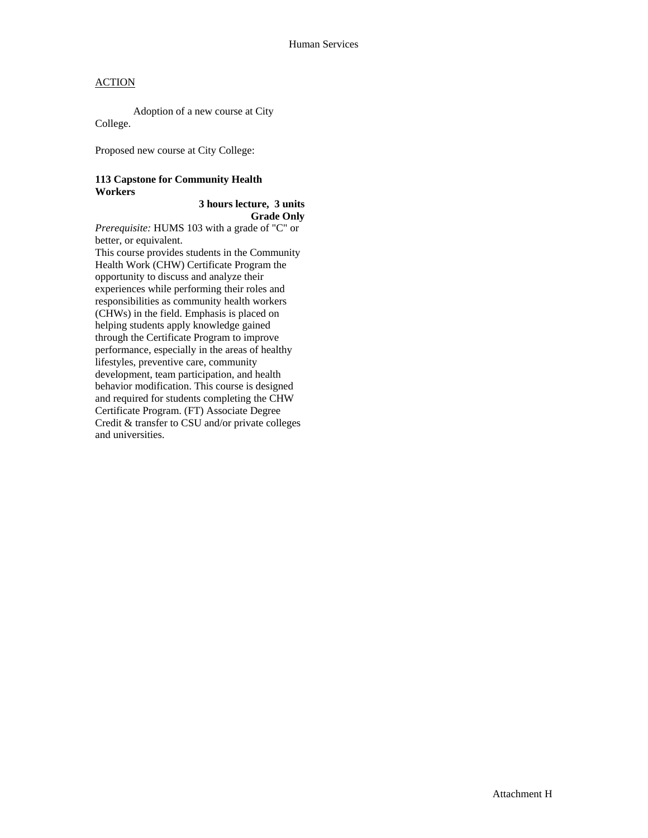Adoption of a new course at City College.

Proposed new course at City College:

## **113 Capstone for Community Health Workers**

 **3 hours lecture, 3 units Grade Only** 

*Prerequisite:* HUMS 103 with a grade of "C" or better, or equivalent.

This course provides students in the Community Health Work (CHW) Certificate Program the opportunity to discuss and analyze their experiences while performing their roles and responsibilities as community health workers (CHWs) in the field. Emphasis is placed on helping students apply knowledge gained through the Certificate Program to improve performance, especially in the areas of healthy lifestyles, preventive care, community development, team participation, and health behavior modification. This course is designed and required for students completing the CHW Certificate Program. (FT) Associate Degree Credit & transfer to CSU and/or private colleges and universities.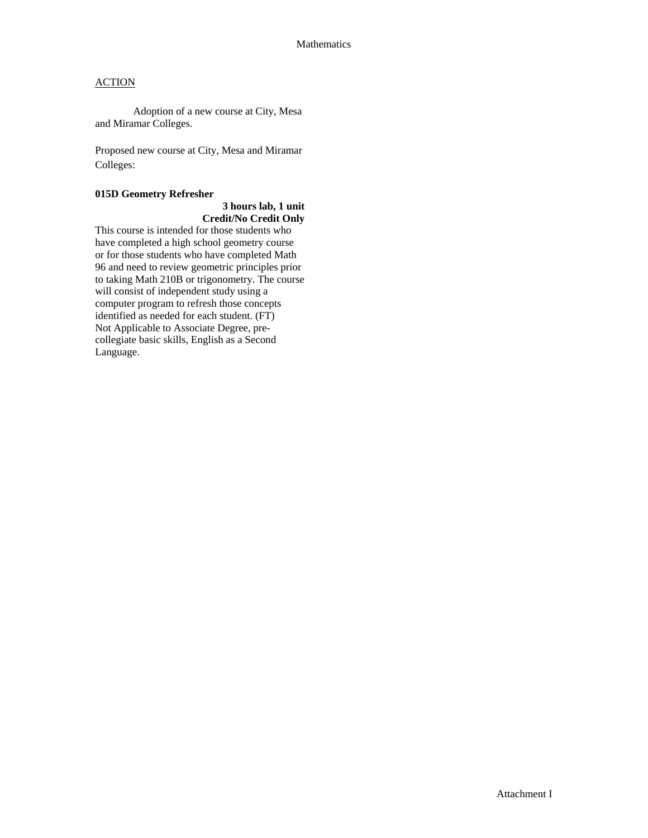Adoption of a new course at City, Mesa and Miramar Colleges.

Proposed new course at City, Mesa and Miramar Colleges:

### **015D Geometry Refresher**

## **3 hours lab, 1 unit Credit/No Credit Only**

This course is intended for those students who have completed a high school geometry course or for those students who have completed Math 96 and need to review geometric principles prior to taking Math 210B or trigonometry. The course will consist of independent study using a computer program to refresh those concepts identified as needed for each student. (FT) Not Applicable to Associate Degree, precollegiate basic skills, English as a Second Language.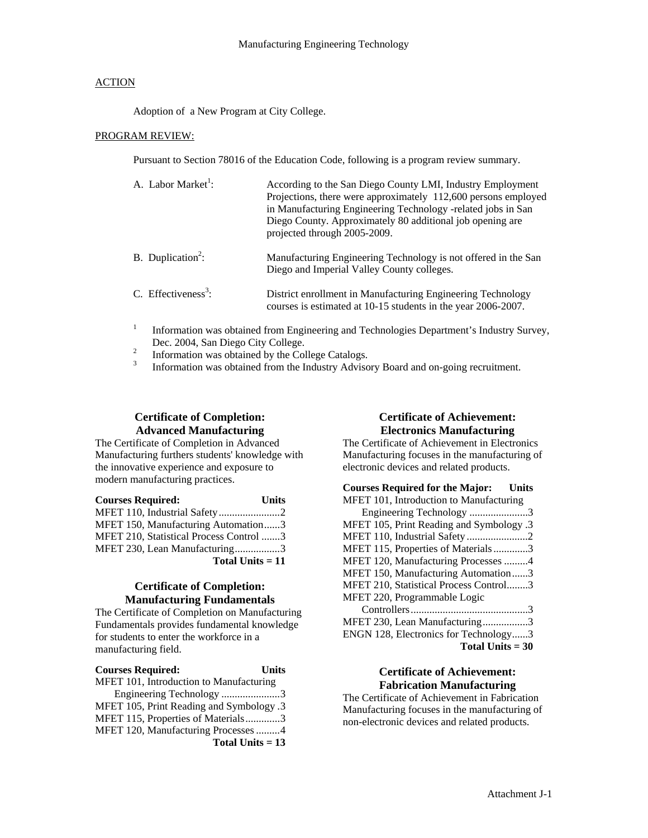Adoption of a New Program at City College.

#### PROGRAM REVIEW:

Pursuant to Section 78016 of the Education Code, following is a program review summary.

| A. Labor Market <sup>1</sup> :  | According to the San Diego County LMI, Industry Employment<br>Projections, there were approximately 112,600 persons employed<br>in Manufacturing Engineering Technology -related jobs in San<br>Diego County. Approximately 80 additional job opening are<br>projected through 2005-2009. |
|---------------------------------|-------------------------------------------------------------------------------------------------------------------------------------------------------------------------------------------------------------------------------------------------------------------------------------------|
| B. Duplication <sup>2</sup> :   | Manufacturing Engineering Technology is not offered in the San<br>Diego and Imperial Valley County colleges.                                                                                                                                                                              |
| C. Effectiveness <sup>3</sup> : | District enrollment in Manufacturing Engineering Technology<br>courses is estimated at 10-15 students in the year 2006-2007.                                                                                                                                                              |

- 1 Information was obtained from Engineering and Technologies Department's Industry Survey, Dec. 2004, San Diego City College.<br>
<sup>2</sup> Information was obtained by the College Catalogs.<br>
<sup>3</sup> Information was obtained from the Industry Advisory Board and on-going recruitment.
- 
- 

# **Certificate of Completion: Advanced Manufacturing**

The Certificate of Completion in Advanced Manufacturing furthers students' knowledge with the innovative experience and exposure to modern manufacturing practices.

| <b>Courses Required:</b>                | <b>Units</b> |
|-----------------------------------------|--------------|
| MFET 110, Industrial Safety2            |              |
| MFET 150, Manufacturing Automation3     |              |
| MFET 210, Statistical Process Control 3 |              |
| MFET 230, Lean Manufacturing3           |              |
| Total Units $= 11$                      |              |

## **Certificate of Completion: Manufacturing Fundamentals**

The Certificate of Completion on Manufacturing Fundamentals provides fundamental knowledge for students to enter the workforce in a manufacturing field.

| <b>Courses Required:</b>                 | <b>Units</b> |
|------------------------------------------|--------------|
| MFET 101, Introduction to Manufacturing  |              |
| Engineering Technology 3                 |              |
| MFET 105, Print Reading and Symbology .3 |              |
| MFET 115, Properties of Materials3       |              |
| MFET 120, Manufacturing Processes 4      |              |
| Total Units $= 13$                       |              |

# **Certificate of Achievement: Electronics Manufacturing**

The Certificate of Achievement in Electronics Manufacturing focuses in the manufacturing of electronic devices and related products.

| <b>Courses Required for the Major:</b> Units |
|----------------------------------------------|
| MFET 101, Introduction to Manufacturing      |
| Engineering Technology 3                     |
| MFET 105, Print Reading and Symbology .3     |
| MFET 110, Industrial Safety 2                |
| MFET 115, Properties of Materials3           |
| MFET 120, Manufacturing Processes 4          |
| MFET 150, Manufacturing Automation3          |
| MFET 210, Statistical Process Control3       |
| MFET 220, Programmable Logic                 |
|                                              |
| MFET 230, Lean Manufacturing3                |
| ENGN 128, Electronics for Technology3        |

**Total Units = 30**

## **Certificate of Achievement: Fabrication Manufacturing**

The Certificate of Achievement in Fabrication Manufacturing focuses in the manufacturing of non-electronic devices and related products.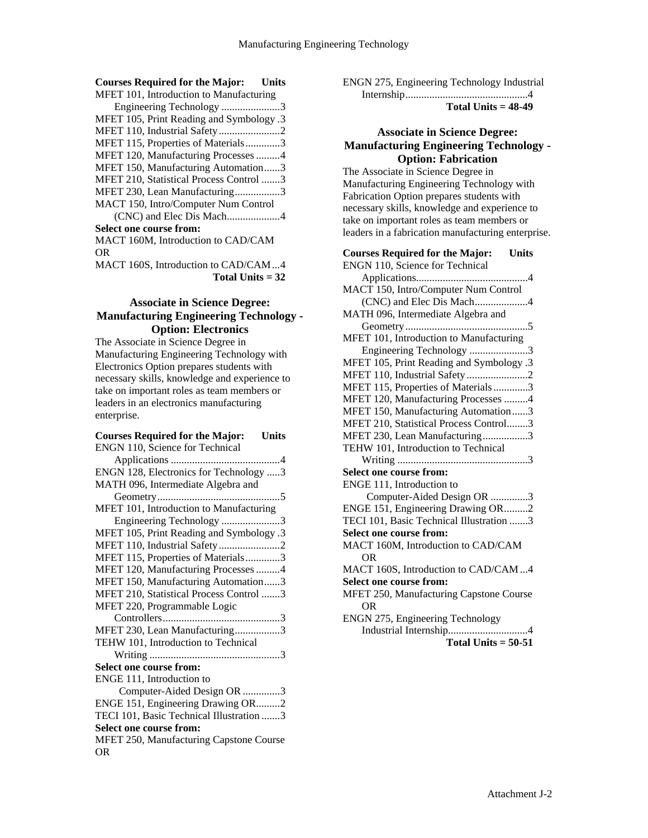## **Courses Required for the Major: Units**

| MFET 101, Introduction to Manufacturing  |  |
|------------------------------------------|--|
| Engineering Technology 3                 |  |
| MFET 105, Print Reading and Symbology .3 |  |
| MFET 110, Industrial Safety2             |  |
| MFET 115, Properties of Materials3       |  |
| MFET 120, Manufacturing Processes 4      |  |
| MFET 150, Manufacturing Automation3      |  |
| MFET 210, Statistical Process Control 3  |  |
| MFET 230, Lean Manufacturing3            |  |
| MACT 150, Intro/Computer Num Control     |  |
| (CNC) and Elec Dis Mach4                 |  |
| Select one course from:                  |  |
| MACT 160M, Introduction to CAD/CAM       |  |
|                                          |  |

OR MACT 160S, Introduction to CAD/CAM...4 **Total Units = 32**

## **Associate in Science Degree: Manufacturing Engineering Technology - Option: Electronics**

The Associate in Science Degree in Manufacturing Engineering Technology with Electronics Option prepares students with necessary skills, knowledge and experience to take on important roles as team members or leaders in an electronics manufacturing enterprise.

#### **Courses Required for the Major: Units** ENGN 110, Science for Technical

| ENGN 128, Electronics for Technology 3   |
|------------------------------------------|
| MATH 096, Intermediate Algebra and       |
|                                          |
| MFET 101, Introduction to Manufacturing  |
| Engineering Technology 3                 |
| MFET 105, Print Reading and Symbology .3 |
| MFET 110, Industrial Safety2             |
| MFET 115, Properties of Materials3       |
| MFET 120, Manufacturing Processes 4      |
| MFET 150, Manufacturing Automation3      |
| MFET 210, Statistical Process Control 3  |
| MFET 220, Programmable Logic             |
|                                          |
| MFET 230, Lean Manufacturing3            |
| TEHW 101, Introduction to Technical      |
|                                          |
| <b>Select one course from:</b>           |
| ENGE 111, Introduction to                |
| Computer-Aided Design OR 3               |
| ENGE 151, Engineering Drawing OR2        |
| TECI 101, Basic Technical Illustration 3 |
| Select one course from:                  |
| MFET 250, Manufacturing Capstone Course  |
| OR                                       |
|                                          |

ENGN 275, Engineering Technology Industrial

Internship..............................................4

## **Total Units = 48-49**

## **Associate in Science Degree: Manufacturing Engineering Technology - Option: Fabrication**

The Associate in Science Degree in Manufacturing Engineering Technology with Fabrication Option prepares students with necessary skills, knowledge and experience to take on important roles as team members or leaders in a fabrication manufacturing enterprise.

| <b>Courses Required for the Major:</b><br><b>Units</b> |
|--------------------------------------------------------|
| ENGN 110, Science for Technical                        |
|                                                        |
| MACT 150, Intro/Computer Num Control                   |
| (CNC) and Elec Dis Mach4                               |
| MATH 096, Intermediate Algebra and                     |
|                                                        |
| MFET 101, Introduction to Manufacturing                |
| Engineering Technology 3                               |
| MFET 105, Print Reading and Symbology .3               |
| MFET 110, Industrial Safety 2                          |
| MFET 115, Properties of Materials3                     |
| MFET 120, Manufacturing Processes 4                    |
| MFET 150, Manufacturing Automation3                    |
| MFET 210, Statistical Process Control3                 |
| MFET 230, Lean Manufacturing3                          |
| TEHW 101, Introduction to Technical                    |
|                                                        |
| <b>Select one course from:</b>                         |
| ENGE 111, Introduction to                              |
| Computer-Aided Design OR 3                             |
| ENGE 151, Engineering Drawing OR2                      |
| TECI 101, Basic Technical Illustration 3               |
| <b>Select one course from:</b>                         |
| MACT 160M, Introduction to CAD/CAM                     |
| 0 <sub>R</sub>                                         |
| MACT 160S, Introduction to CAD/CAM4                    |
| <b>Select one course from:</b>                         |
| MFET 250, Manufacturing Capstone Course                |
| <b>OR</b>                                              |
| <b>ENGN 275, Engineering Technology</b>                |
|                                                        |
| Total Units $= 50-51$                                  |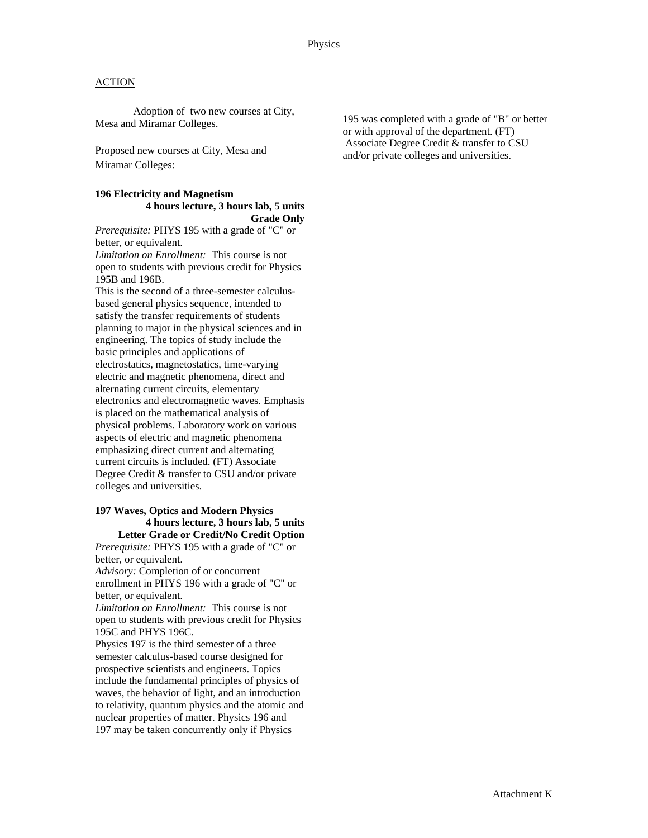Adoption of two new courses at City, Mesa and Miramar Colleges.

Proposed new courses at City, Mesa and Miramar Colleges:

#### **196 Electricity and Magnetism 4 hours lecture, 3 hours lab, 5 units Grade Only**

*Prerequisite:* PHYS 195 with a grade of "C" or better, or equivalent.

*Limitation on Enrollment:* This course is not open to students with previous credit for Physics 195B and 196B.

This is the second of a three-semester calculusbased general physics sequence, intended to satisfy the transfer requirements of students planning to major in the physical sciences and in engineering. The topics of study include the basic principles and applications of electrostatics, magnetostatics, time-varying electric and magnetic phenomena, direct and alternating current circuits, elementary electronics and electromagnetic waves. Emphasis is placed on the mathematical analysis of physical problems. Laboratory work on various aspects of electric and magnetic phenomena emphasizing direct current and alternating current circuits is included. (FT) Associate Degree Credit & transfer to CSU and/or private colleges and universities.

#### **197 Waves, Optics and Modern Physics 4 hours lecture, 3 hours lab, 5 units Letter Grade or Credit/No Credit Option**

*Prerequisite:* PHYS 195 with a grade of "C" or better, or equivalent.

*Advisory:* Completion of or concurrent enrollment in PHYS 196 with a grade of "C" or better, or equivalent.

*Limitation on Enrollment:* This course is not open to students with previous credit for Physics 195C and PHYS 196C.

Physics 197 is the third semester of a three semester calculus-based course designed for prospective scientists and engineers. Topics include the fundamental principles of physics of waves, the behavior of light, and an introduction to relativity, quantum physics and the atomic and nuclear properties of matter. Physics 196 and 197 may be taken concurrently only if Physics

195 was completed with a grade of "B" or better or with approval of the department. (FT) Associate Degree Credit & transfer to CSU and/or private colleges and universities.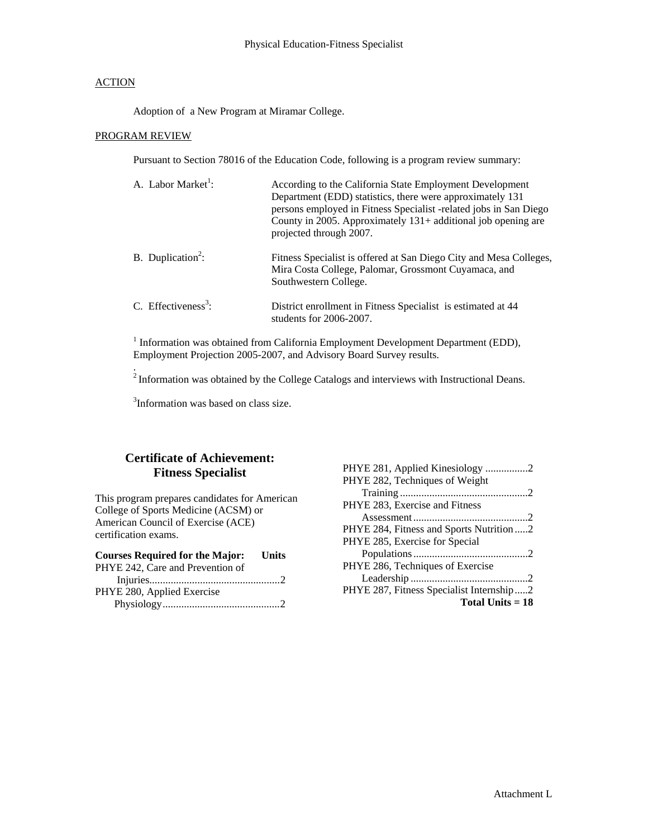Adoption of a New Program at Miramar College.

## PROGRAM REVIEW

Pursuant to Section 78016 of the Education Code, following is a program review summary:

| A. Labor Market <sup>1</sup> :  | According to the California State Employment Development<br>Department (EDD) statistics, there were approximately 131<br>persons employed in Fitness Specialist -related jobs in San Diego<br>County in 2005. Approximately $131+$ additional job opening are<br>projected through 2007. |
|---------------------------------|------------------------------------------------------------------------------------------------------------------------------------------------------------------------------------------------------------------------------------------------------------------------------------------|
| B. Duplication <sup>2</sup> :   | Fitness Specialist is offered at San Diego City and Mesa Colleges,<br>Mira Costa College, Palomar, Grossmont Cuyamaca, and<br>Southwestern College.                                                                                                                                      |
| C. Effectiveness <sup>3</sup> : | District enrollment in Fitness Specialist is estimated at 44<br>students for 2006-2007.                                                                                                                                                                                                  |

<sup>1</sup> Information was obtained from California Employment Development Department (EDD), Employment Projection 2005-2007, and Advisory Board Survey results.

.  $2$ Information was obtained by the College Catalogs and interviews with Instructional Deans.

<sup>3</sup>Information was based on class size.

# **Certificate of Achievement: Fitness Specialist**

This program prepares candidates for American College of Sports Medicine (ACSM) or American Council of Exercise (ACE) certification exams.

| <b>Courses Required for the Major:</b> Units |  |
|----------------------------------------------|--|
| PHYE 242, Care and Prevention of             |  |
|                                              |  |
| PHYE 280, Applied Exercise                   |  |
|                                              |  |

| PHYE 284, Fitness and Sports Nutrition2  |
|------------------------------------------|
|                                          |
|                                          |
|                                          |
|                                          |
| PHYE 287, Fitness Specialist Internship2 |
| Total Units $= 18$                       |
|                                          |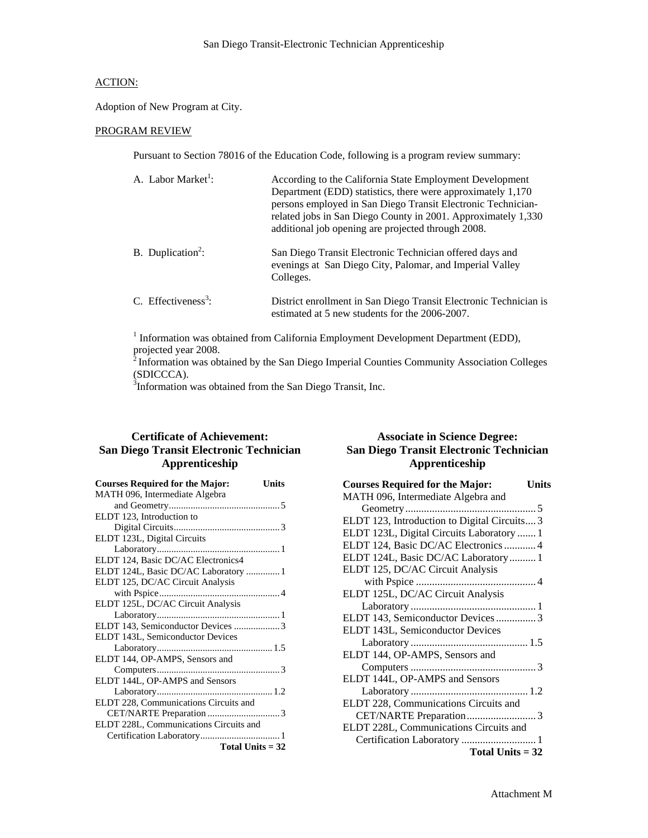Adoption of New Program at City.

#### PROGRAM REVIEW

Pursuant to Section 78016 of the Education Code, following is a program review summary:

| A. Labor Market <sup>1</sup> :  | According to the California State Employment Development<br>Department (EDD) statistics, there were approximately 1,170<br>persons employed in San Diego Transit Electronic Technician-<br>related jobs in San Diego County in 2001. Approximately 1,330<br>additional job opening are projected through 2008. |
|---------------------------------|----------------------------------------------------------------------------------------------------------------------------------------------------------------------------------------------------------------------------------------------------------------------------------------------------------------|
| B. Duplication <sup>2</sup> :   | San Diego Transit Electronic Technician offered days and<br>evenings at San Diego City, Palomar, and Imperial Valley<br>Colleges.                                                                                                                                                                              |
| C. Effectiveness <sup>3</sup> : | District enrollment in San Diego Transit Electronic Technician is<br>estimated at 5 new students for the 2006-2007.                                                                                                                                                                                            |

<sup>1</sup> Information was obtained from California Employment Development Department (EDD), projected year 2008.

 $2$  Information was obtained by the San Diego Imperial Counties Community Association Colleges (SDICCCA).

<sup>3</sup>Information was obtained from the San Diego Transit, Inc.

## **Certificate of Achievement: San Diego Transit Electronic Technician Apprenticeship**

| <b>Courses Required for the Major:</b> | Units |
|----------------------------------------|-------|
| MATH 096, Intermediate Algebra         |       |
|                                        |       |
| ELDT 123, Introduction to              |       |
|                                        |       |
| ELDT 123L, Digital Circuits            |       |
|                                        |       |
| ELDT 124, Basic DC/AC Electronics4     |       |
| ELDT 124L, Basic DC/AC Laboratory 1    |       |
| ELDT 125, DC/AC Circuit Analysis       |       |
|                                        |       |
| ELDT 125L, DC/AC Circuit Analysis      |       |
|                                        |       |
| ELDT 143, Semiconductor Devices 3      |       |
| ELDT 143L, Semiconductor Devices       |       |
|                                        |       |
| ELDT 144, OP-AMPS, Sensors and         |       |
|                                        |       |
| ELDT 144L, OP-AMPS and Sensors         |       |
|                                        |       |
| ELDT 228, Communications Circuits and  |       |
|                                        |       |
| ELDT 228L, Communications Circuits and |       |
|                                        |       |
| Total Units $= 32$                     |       |
|                                        |       |

## **Associate in Science Degree: San Diego Transit Electronic Technician Apprenticeship**

| <b>Courses Required for the Major:</b><br>Units |  |
|-------------------------------------------------|--|
| MATH 096, Intermediate Algebra and              |  |
|                                                 |  |
| ELDT 123, Introduction to Digital Circuits 3    |  |
| ELDT 123L, Digital Circuits Laboratory  1       |  |
| ELDT 124, Basic DC/AC Electronics  4            |  |
| ELDT 124L, Basic DC/AC Laboratory 1             |  |
| ELDT 125, DC/AC Circuit Analysis                |  |
|                                                 |  |
| ELDT 125L, DC/AC Circuit Analysis               |  |
|                                                 |  |
| ELDT 143, Semiconductor Devices3                |  |
| ELDT 143L, Semiconductor Devices                |  |
|                                                 |  |
| ELDT 144, OP-AMPS, Sensors and                  |  |
|                                                 |  |
| ELDT 144L, OP-AMPS and Sensors                  |  |
|                                                 |  |
| ELDT 228, Communications Circuits and           |  |
|                                                 |  |
| ELDT 228L, Communications Circuits and          |  |
| Certification Laboratory  1                     |  |
| Total Units $= 32$                              |  |